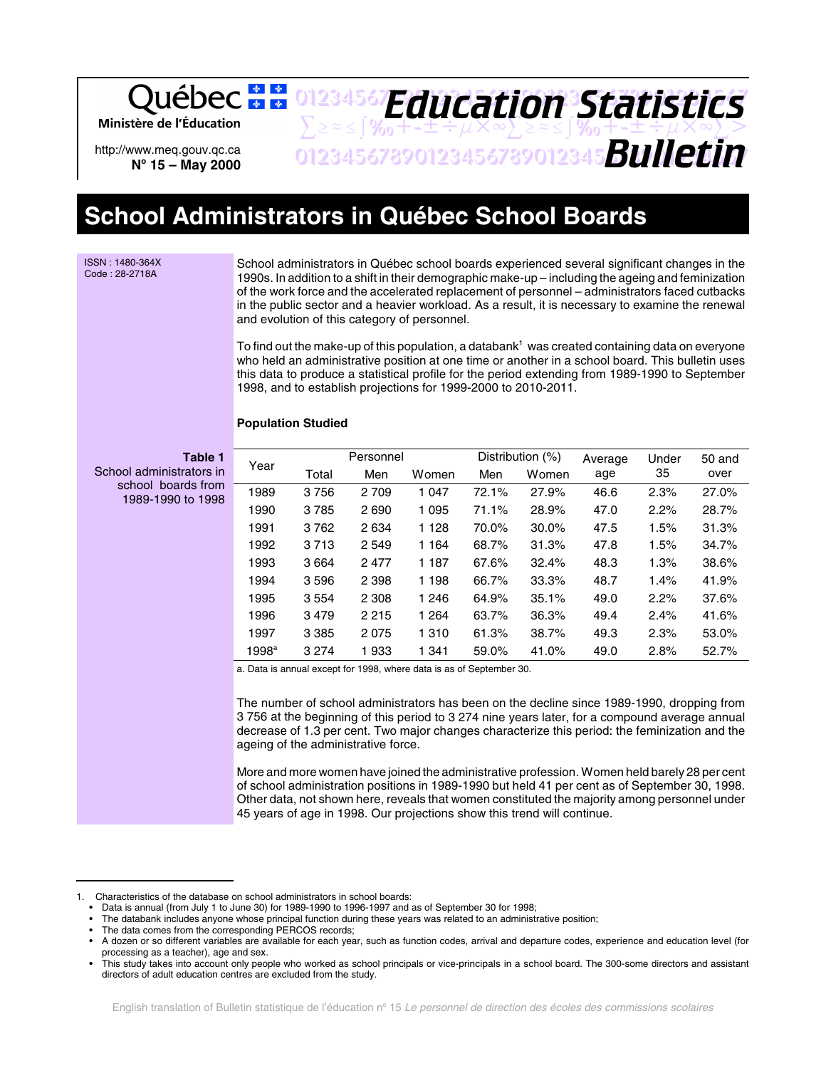Ministère de l'Éducation

http://www.meq.gouv.qc.ca **No 15 – May 2000**

 $\sum z \approx \int \%$ <sub>0</sub>++±÷ $\mu \times \infty$  $\sum z \approx \int \%$ <sub>0</sub>++±÷ $\mu \times \infty$ 01234567890123456789012345678901234567 *Bulletin Education Statistics*

01234567**F***Anri Stion Statictice* 

# **School Administrators in Québec School Boards**

ISSN : 1480-364X Code : 28-2718A

School administrators in Québec school boards experienced several significant changes in the 1990s. In addition to a shift in their demographic make-up – including the ageing and feminization of the work force and the accelerated replacement of personnel – administrators faced cutbacks in the public sector and a heavier workload. As a result, it is necessary to examine the renewal and evolution of this category of personnel.

To find out the make-up of this population, a databank<sup>1</sup> was created containing data on everyone who held an administrative position at one time or another in a school board. This bulletin uses this data to produce a statistical profile for the period extending from 1989-1990 to September 1998, and to establish projections for 1999-2000 to 2010-2011.

# **Population Studied**

School administ school boa 1989-1990

| Table 1<br>rators in<br>rds from<br>to 1998 | Year              |         | Personnel |         |       | Distribution (%) | Average | Under | 50 and |
|---------------------------------------------|-------------------|---------|-----------|---------|-------|------------------|---------|-------|--------|
|                                             |                   | Total   | Men       | Women   | Men   | Women            | age     | 35    | over   |
|                                             | 1989              | 3756    | 2 7 0 9   | 1 0 4 7 | 72.1% | 27.9%            | 46.6    | 2.3%  | 27.0%  |
|                                             | 1990              | 3785    | 2690      | 1 0 9 5 | 71.1% | 28.9%            | 47.0    | 2.2%  | 28.7%  |
|                                             | 1991              | 3762    | 2 6 3 4   | 1 1 2 8 | 70.0% | 30.0%            | 47.5    | 1.5%  | 31.3%  |
|                                             | 1992              | 3713    | 2 5 4 9   | 1 1 6 4 | 68.7% | 31.3%            | 47.8    | 1.5%  | 34.7%  |
|                                             | 1993              | 3664    | 2477      | 1 187   | 67.6% | 32.4%            | 48.3    | 1.3%  | 38.6%  |
|                                             | 1994              | 3596    | 2 3 9 8   | 1 1 9 8 | 66.7% | 33.3%            | 48.7    | 1.4%  | 41.9%  |
|                                             | 1995              | 3554    | 2 3 0 8   | 1 2 4 6 | 64.9% | 35.1%            | 49.0    | 2.2%  | 37.6%  |
|                                             | 1996              | 3479    | 2 2 1 5   | 1 2 6 4 | 63.7% | 36.3%            | 49.4    | 2.4%  | 41.6%  |
|                                             | 1997              | 3 3 8 5 | 2075      | 1 3 1 0 | 61.3% | 38.7%            | 49.3    | 2.3%  | 53.0%  |
|                                             | 1998 <sup>a</sup> | 3 2 7 4 | 1933      | 1 3 4 1 | 59.0% | 41.0%            | 49.0    | 2.8%  | 52.7%  |

a. Data is annual except for 1998, where data is as of September 30.

The number of school administrators has been on the decline since 1989-1990, dropping from 3 756 at the beginning of this period to 3 274 nine years later, for a compound average annual decrease of 1.3 per cent. Two major changes characterize this period: the feminization and the ageing of the administrative force.

More and more women have joined the administrative profession. Women held barely 28 per cent of school administration positions in 1989-1990 but held 41 per cent as of September 30, 1998. Other data, not shown here, reveals that women constituted the majority among personnel under 45 years of age in 1998. Our projections show this trend will continue.

<sup>1.</sup> Characteristics of the database on school administrators in school boards:

<sup>•</sup> Data is annual (from July 1 to June 30) for 1989-1990 to 1996-1997 and as of September 30 for 1998;

<sup>•</sup> The databank includes anyone whose principal function during these years was related to an administrative position;

The data comes from the corresponding PERCOS records;

<sup>•</sup> A dozen or so different variables are available for each year, such as function codes, arrival and departure codes, experience and education level (for processing as a teacher), age and sex.

<sup>•</sup> This study takes into account only people who worked as school principals or vice-principals in a school board. The 300-some directors and assistant directors of adult education centres are excluded from the study.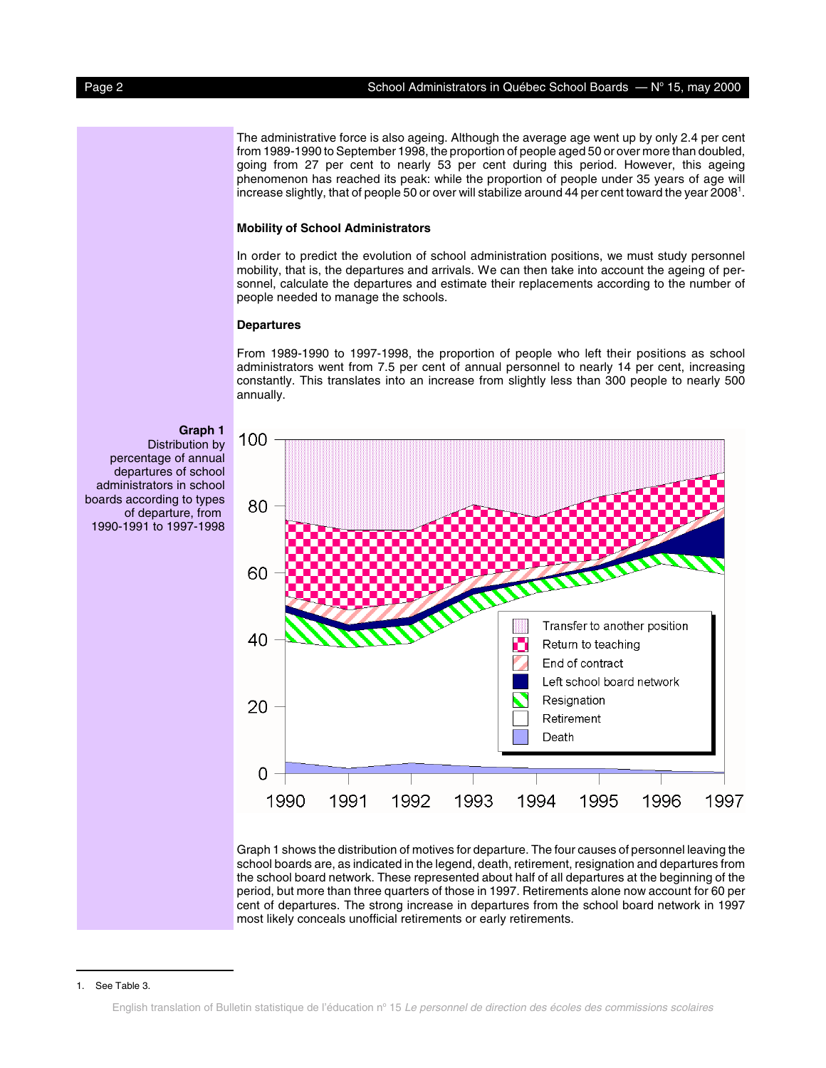The administrative force is also ageing. Although the average age went up by only 2.4 per cent from 1989-1990 to September 1998, the proportion of people aged 50 or over more than doubled, going from 27 per cent to nearly 53 per cent during this period. However, this ageing phenomenon has reached its peak: while the proportion of people under 35 years of age will increase slightly, that of people 50 or over will stabilize around 44 per cent toward the year 2008 $^{\rm 1}.$ 

### **Mobility of School Administrators**

In order to predict the evolution of school administration positions, we must study personnel mobility, that is, the departures and arrivals. We can then take into account the ageing of personnel, calculate the departures and estimate their replacements according to the number of people needed to manage the schools.

# **Departures**

From 1989-1990 to 1997-1998, the proportion of people who left their positions as school administrators went from 7.5 per cent of annual personnel to nearly 14 per cent, increasing constantly. This translates into an increase from slightly less than 300 people to nearly 500 annually.



Graph 1 shows the distribution of motives for departure. The four causes of personnel leaving the school boards are, as indicated in the legend, death, retirement, resignation and departures from the school board network. These represented about half of all departures at the beginning of the period, but more than three quarters of those in 1997. Retirements alone now account for 60 per cent of departures. The strong increase in departures from the school board network in 1997 most likely conceals unofficial retirements or early retirements.

### **Graph 1**

Distribution by percentage of annual departures of school administrators in school boards according to types of departure, from 1990-1991 to 1997-1998

#### 1. See Table 3.

English translation of Bulletin statistique de l'éducation nº 15 Le personnel de direction des écoles des commissions scolaires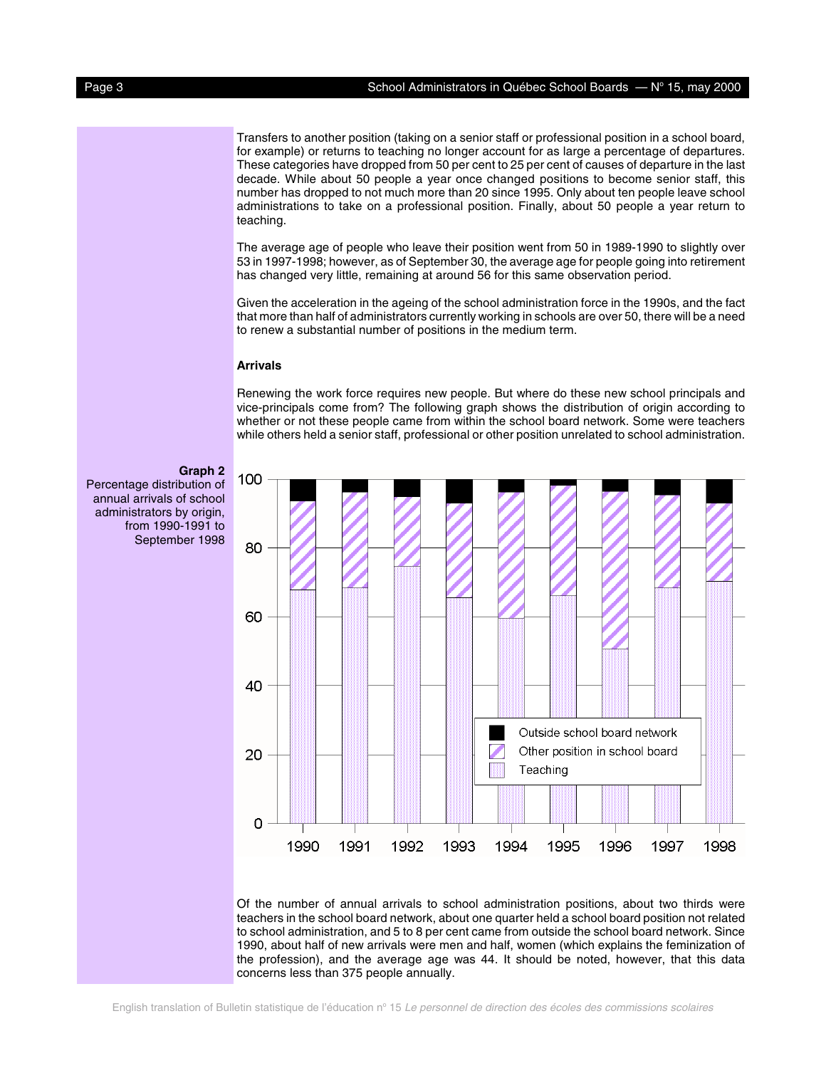Transfers to another position (taking on a senior staff or professional position in a school board, for example) or returns to teaching no longer account for as large a percentage of departures. These categories have dropped from 50 per cent to 25 per cent of causes of departure in the last decade. While about 50 people a year once changed positions to become senior staff, this number has dropped to not much more than 20 since 1995. Only about ten people leave school administrations to take on a professional position. Finally, about 50 people a year return to teaching.

The average age of people who leave their position went from 50 in 1989-1990 to slightly over 53 in 1997-1998; however, as of September 30, the average age for people going into retirement has changed very little, remaining at around 56 for this same observation period.

Given the acceleration in the ageing of the school administration force in the 1990s, and the fact that more than half of administrators currently working in schools are over 50, there will be a need to renew a substantial number of positions in the medium term.

### **Arrivals**

Renewing the work force requires new people. But where do these new school principals and vice-principals come from? The following graph shows the distribution of origin according to whether or not these people came from within the school board network. Some were teachers while others held a senior staff, professional or other position unrelated to school administration.

**Graph 2** Percentage distribution of annual arrivals of school administrators by origin, from 1990-1991 to September 1998



Of the number of annual arrivals to school administration positions, about two thirds were teachers in the school board network, about one quarter held a school board position not related to school administration, and 5 to 8 per cent came from outside the school board network. Since 1990, about half of new arrivals were men and half, women (which explains the feminization of the profession), and the average age was 44. It should be noted, however, that this data concerns less than 375 people annually.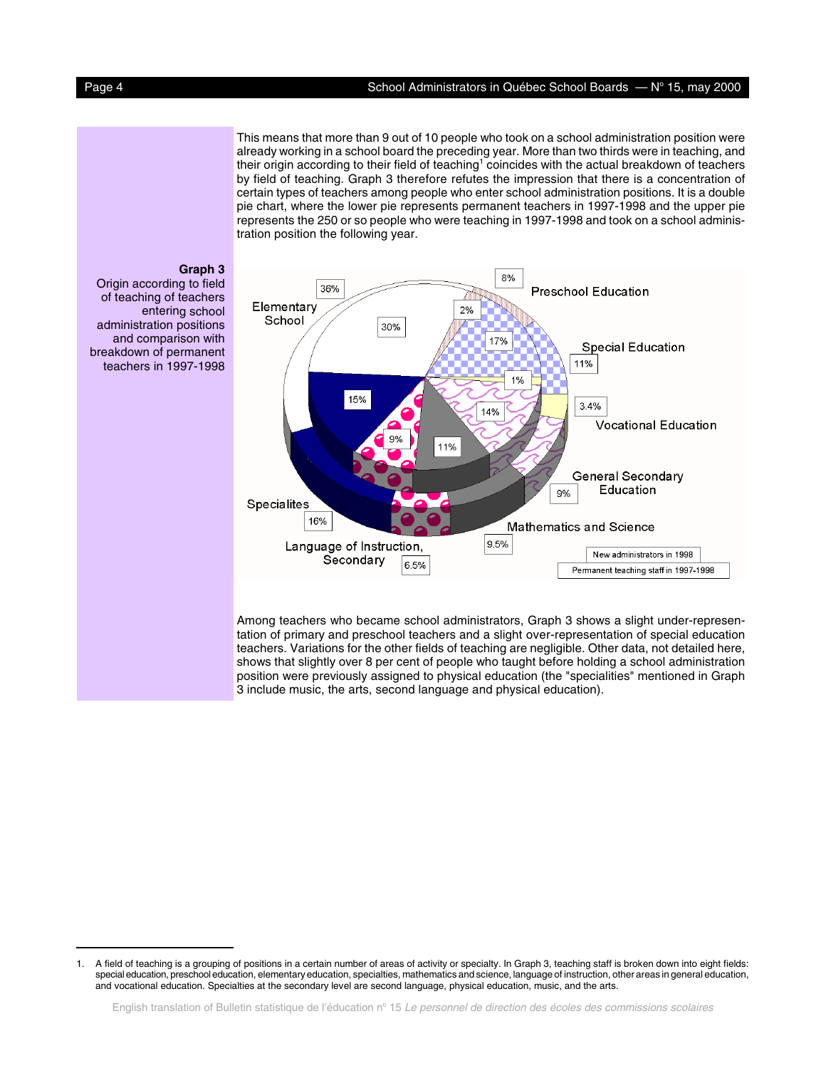This means that more than 9 out of 10 people who took on a school administration position were already working in a school board the preceding year. More than two thirds were in teaching, and their origin according to their field of teaching $^{\rm l}$  coincides with the actual breakdown of teachers by field of teaching. Graph 3 therefore refutes the impression that there is a concentration of certain types of teachers among people who enter school administration positions. It is a double pie chart, where the lower pie represents permanent teachers in 1997-1998 and the upper pie represents the 250 or so people who were teaching in 1997-1998 and took on a school administration position the following year.



Origin according to field of teaching of teachers entering school administration positions and comparison with breakdown of permanent teachers in 1997-1998



Among teachers who became school administrators, Graph 3 shows a slight under-representation of primary and preschool teachers and a slight over-representation of special education teachers. Variations for the other fields of teaching are negligible. Other data, not detailed here, shows that slightly over 8 per cent of people who taught before holding a school administration position were previously assigned to physical education (the "specialities" mentioned in Graph 3 include music, the arts, second language and physical education).

<sup>1.</sup> A field of teaching is a grouping of positions in a certain number of areas of activity or specialty. In Graph 3, teaching staff is broken down into eight fields: special education, preschool education, elementary education, specialties, mathematics and science, language of instruction, other areas in general education, and vocational education. Specialties at the secondary level are second language, physical education, music, and the arts.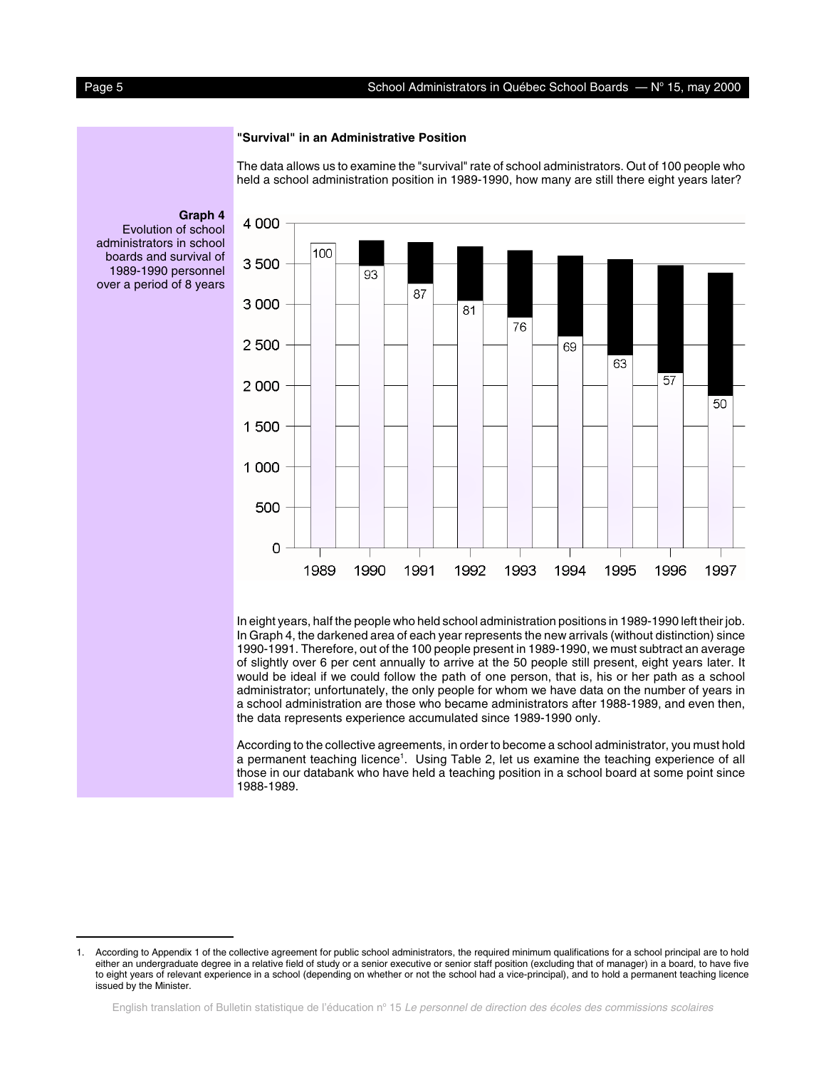### **"Survival" in an Administrative Position**

The data allows us to examine the "survival" rate of school administrators. Out of 100 people who held a school administration position in 1989-1990, how many are still there eight years later?

4 0 0 0 100 3500 93 87 3 0 0 0 81 76 2 500 69 63 57 2 0 0 0 50 1500 1 0 0 0 500 0 1989 1990 1991 1992 1993 1994 1995 1996 1997

In Graph 4, the darkened area of each year represents the new arrivals (without distinction) since 1990-1991. Therefore, out of the 100 people present in 1989-1990, we must subtract an average of slightly over 6 per cent annually to arrive at the 50 people still present, eight years later. It would be ideal if we could follow the path of one person, that is, his or her path as a school administrator; unfortunately, the only people for whom we have data on the number of years in a school administration are those who became administrators after 1988-1989, and even then, the data represents experience accumulated since 1989-1990 only.

According to the collective agreements, in order to become a school administrator, you must hold a permanent teaching licence<sup>1</sup>. Using Table 2, let us examine the teaching experience of all those in our databank who have held a teaching position in a school board at some point since 1988-1989.

**Graph 4**

Evolution of school administrators in school



<sup>1.</sup> According to Appendix 1 of the collective agreement for public school administrators, the required minimum qualifications for a school principal are to hold either an undergraduate degree in a relative field of study or a senior executive or senior staff position (excluding that of manager) in a board, to have five to eight years of relevant experience in a school (depending on whether or not the school had a vice-principal), and to hold a permanent teaching licence issued by the Minister.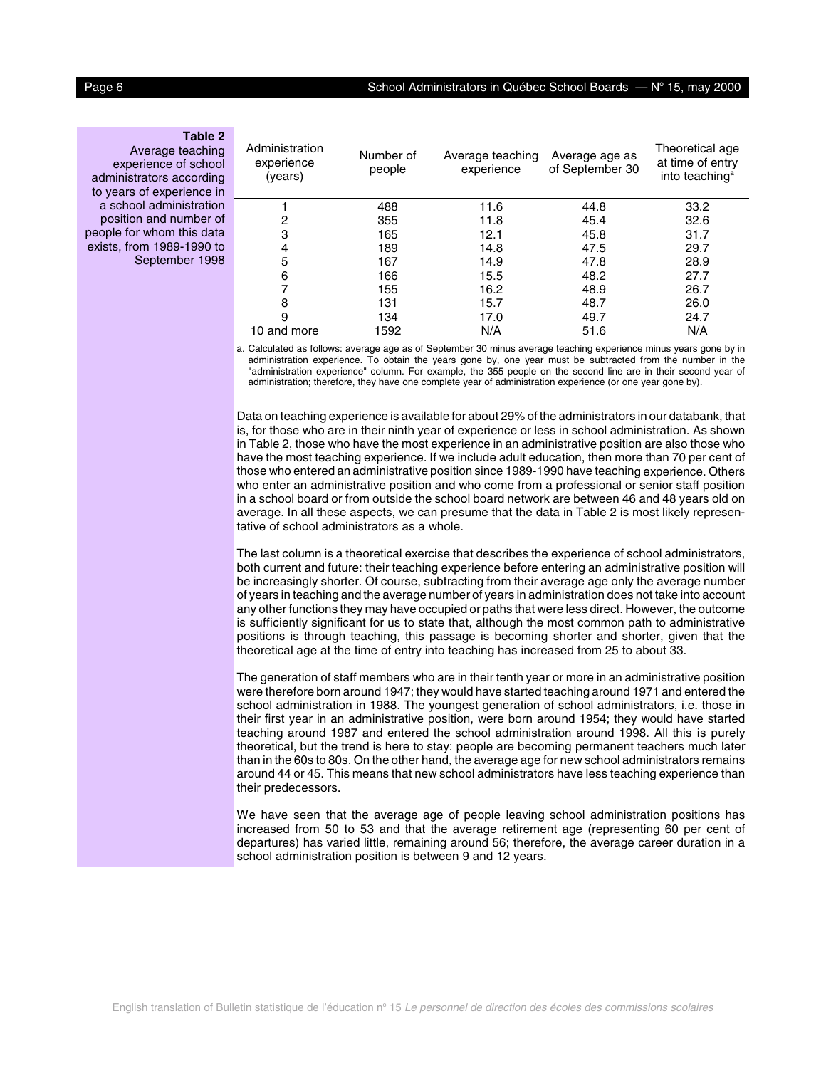# **Table 2**

Average teaching experience of school administrators according to years of experience in a school administration position and number of people for whom this data exists, from 1989-1990 to September 1998

| Administration<br>experience<br>(years) | Number of<br>people | Average teaching<br>experience | Average age as<br>of September 30 | Theoretical age<br>at time of entry<br>into teaching <sup>a</sup> |
|-----------------------------------------|---------------------|--------------------------------|-----------------------------------|-------------------------------------------------------------------|
|                                         | 488                 | 11.6                           | 44.8                              | 33.2                                                              |
| 2                                       | 355                 | 11.8                           | 45.4                              | 32.6                                                              |
| 3                                       | 165                 | 12.1                           | 45.8                              | 31.7                                                              |
| 4                                       | 189                 | 14.8                           | 47.5                              | 29.7                                                              |
| 5                                       | 167                 | 14.9                           | 47.8                              | 28.9                                                              |
| 6                                       | 166                 | 15.5                           | 48.2                              | 27.7                                                              |
|                                         | 155                 | 16.2                           | 48.9                              | 26.7                                                              |
| 8                                       | 131                 | 15.7                           | 48.7                              | 26.0                                                              |
| 9                                       | 134                 | 17.0                           | 49.7                              | 24.7                                                              |
| 10 and more                             | 1592                | N/A                            | 51.6                              | N/A                                                               |

a. Calculated as follows: average age as of September 30 minus average teaching experience minus years gone by in administration experience. To obtain the years gone by, one year must be subtracted from the number in the "administration experience" column. For example, the 355 people on the second line are in their second year of administration; therefore, they have one complete year of administration experience (or one year gone by).

Data on teaching experience is available for about 29% of the administrators in our databank, that is, for those who are in their ninth year of experience or less in school administration. As shown in Table 2, those who have the most experience in an administrative position are also those who have the most teaching experience. If we include adult education, then more than 70 per cent of those who entered an administrative position since 1989-1990 have teaching experience. Others who enter an administrative position and who come from a professional or senior staff position in a school board or from outside the school board network are between 46 and 48 years old on average. In all these aspects, we can presume that the data in Table 2 is most likely representative of school administrators as a whole.

The last column is a theoretical exercise that describes the experience of school administrators, both current and future: their teaching experience before entering an administrative position will be increasingly shorter. Of course, subtracting from their average age only the average number of years in teaching and the average number of years in administration does not take into account any other functions they may have occupied or paths that were less direct. However, the outcome is sufficiently significant for us to state that, although the most common path to administrative positions is through teaching, this passage is becoming shorter and shorter, given that the theoretical age at the time of entry into teaching has increased from 25 to about 33.

The generation of staff members who are in their tenth year or more in an administrative position were therefore born around 1947; they would have started teaching around 1971 and entered the school administration in 1988. The youngest generation of school administrators, i.e. those in their first year in an administrative position, were born around 1954; they would have started teaching around 1987 and entered the school administration around 1998. All this is purely theoretical, but the trend is here to stay: people are becoming permanent teachers much later than in the 60s to 80s. On the other hand, the average age for new school administrators remains around 44 or 45. This means that new school administrators have less teaching experience than their predecessors.

We have seen that the average age of people leaving school administration positions has increased from 50 to 53 and that the average retirement age (representing 60 per cent of departures) has varied little, remaining around 56; therefore, the average career duration in a school administration position is between 9 and 12 years.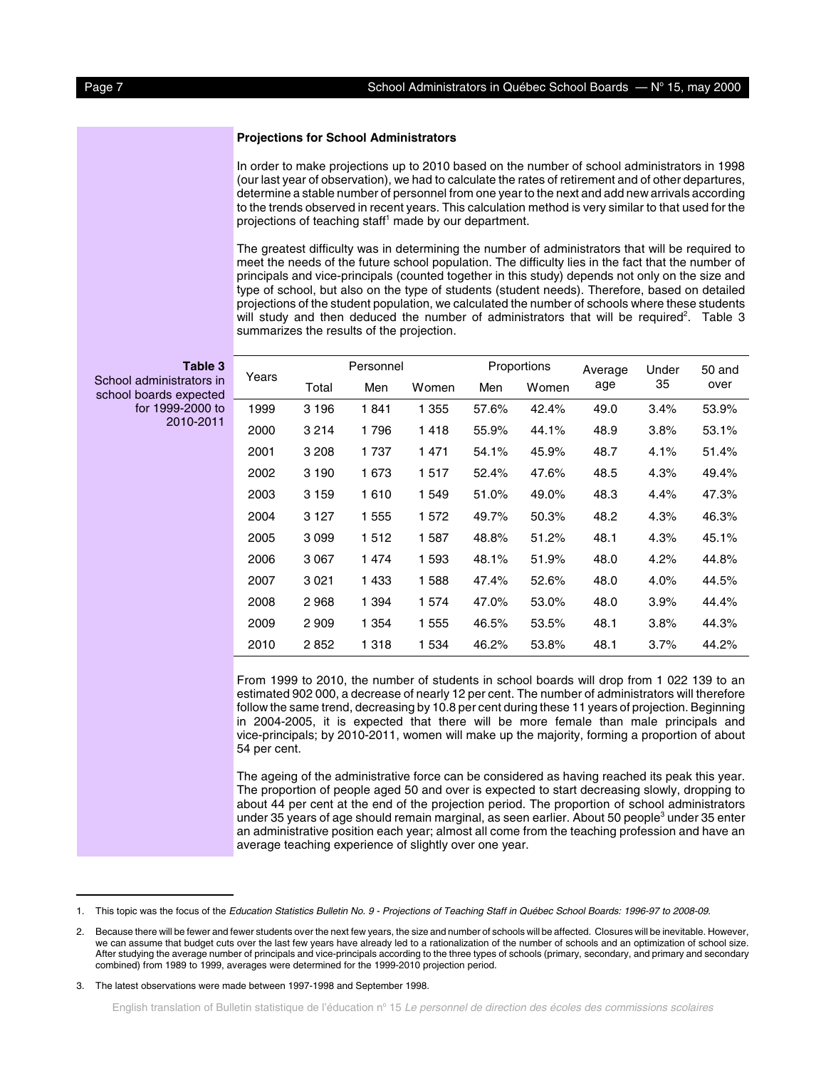#### **Projections for School Administrators**

In order to make projections up to 2010 based on the number of school administrators in 1998 (our last year of observation), we had to calculate the rates of retirement and of other departures, determine a stable number of personnel from one year to the next and add new arrivals according to the trends observed in recent years. This calculation method is very similar to that used for the projections of teaching staff<sup>1</sup> made by our department.

The greatest difficulty was in determining the number of administrators that will be required to meet the needs of the future school population. The difficulty lies in the fact that the number of principals and vice-principals (counted together in this study) depends not only on the size and type of school, but also on the type of students (student needs). Therefore, based on detailed projections of the student population, we calculated the number of schools where these students will study and then deduced the number of administrators that will be required<sup>2</sup>. Table 3 summarizes the results of the projection.

| Table 3                                            | Years | Personnel |         |         | Proportions |       | Average | Under | 50 and |
|----------------------------------------------------|-------|-----------|---------|---------|-------------|-------|---------|-------|--------|
| School administrators in<br>school boards expected |       | Total     | Men     | Women   | Men         | Women | age     | 35    | over   |
| for 1999-2000 to                                   | 1999  | 3 1 9 6   | 1841    | 1 3 5 5 | 57.6%       | 42.4% | 49.0    | 3.4%  | 53.9%  |
| 2010-2011                                          | 2000  | 3 2 1 4   | 1796    | 1418    | 55.9%       | 44.1% | 48.9    | 3.8%  | 53.1%  |
|                                                    | 2001  | 3 2 0 8   | 1 7 3 7 | 1471    | 54.1%       | 45.9% | 48.7    | 4.1%  | 51.4%  |
|                                                    | 2002  | 3 1 9 0   | 1 673   | 1517    | 52.4%       | 47.6% | 48.5    | 4.3%  | 49.4%  |
|                                                    | 2003  | 3 1 5 9   | 1610    | 1 5 4 9 | 51.0%       | 49.0% | 48.3    | 4.4%  | 47.3%  |
|                                                    | 2004  | 3 1 2 7   | 1 5 5 5 | 1 572   | 49.7%       | 50.3% | 48.2    | 4.3%  | 46.3%  |
|                                                    | 2005  | 3099      | 1512    | 1 5 8 7 | 48.8%       | 51.2% | 48.1    | 4.3%  | 45.1%  |
|                                                    | 2006  | 3 0 6 7   | 1474    | 1 5 9 3 | 48.1%       | 51.9% | 48.0    | 4.2%  | 44.8%  |
|                                                    | 2007  | 3 0 2 1   | 1433    | 1588    | 47.4%       | 52.6% | 48.0    | 4.0%  | 44.5%  |
|                                                    | 2008  | 2968      | 1 3 9 4 | 1 574   | 47.0%       | 53.0% | 48.0    | 3.9%  | 44.4%  |
|                                                    | 2009  | 2 9 0 9   | 1 3 5 4 | 1 5 5 5 | 46.5%       | 53.5% | 48.1    | 3.8%  | 44.3%  |
|                                                    | 2010  | 2852      | 1 3 1 8 | 1 5 3 4 | 46.2%       | 53.8% | 48.1    | 3.7%  | 44.2%  |
|                                                    |       |           |         |         |             |       |         |       |        |

From 1999 to 2010, the number of students in school boards will drop from 1 022 139 to an estimated 902 000, a decrease of nearly 12 per cent. The number of administrators will therefore follow the same trend, decreasing by 10.8 per cent during these 11 years of projection. Beginning in 2004-2005, it is expected that there will be more female than male principals and vice-principals; by 2010-2011, women will make up the majority, forming a proportion of about 54 per cent.

The ageing of the administrative force can be considered as having reached its peak this year. The proportion of people aged 50 and over is expected to start decreasing slowly, dropping to about 44 per cent at the end of the projection period. The proportion of school administrators under 35 years of age should remain marginal, as seen earlier. About 50 people<sup>3</sup> under 35 enter an administrative position each year; almost all come from the teaching profession and have an average teaching experience of slightly over one year.

<sup>1.</sup> This topic was the focus of the Education Statistics Bulletin No. 9 - Projections of Teaching Staff in Québec School Boards: 1996-97 to 2008-09.

<sup>2.</sup> Because there will be fewer and fewer students over the next few years, the size and number of schools will be affected. Closures will be inevitable. However, we can assume that budget cuts over the last few years have already led to a rationalization of the number of schools and an optimization of school size. After studying the average number of principals and vice-principals according to the three types of schools (primary, secondary, and primary and secondary combined) from 1989 to 1999, averages were determined for the 1999-2010 projection period.

<sup>3.</sup> The latest observations were made between 1997-1998 and September 1998.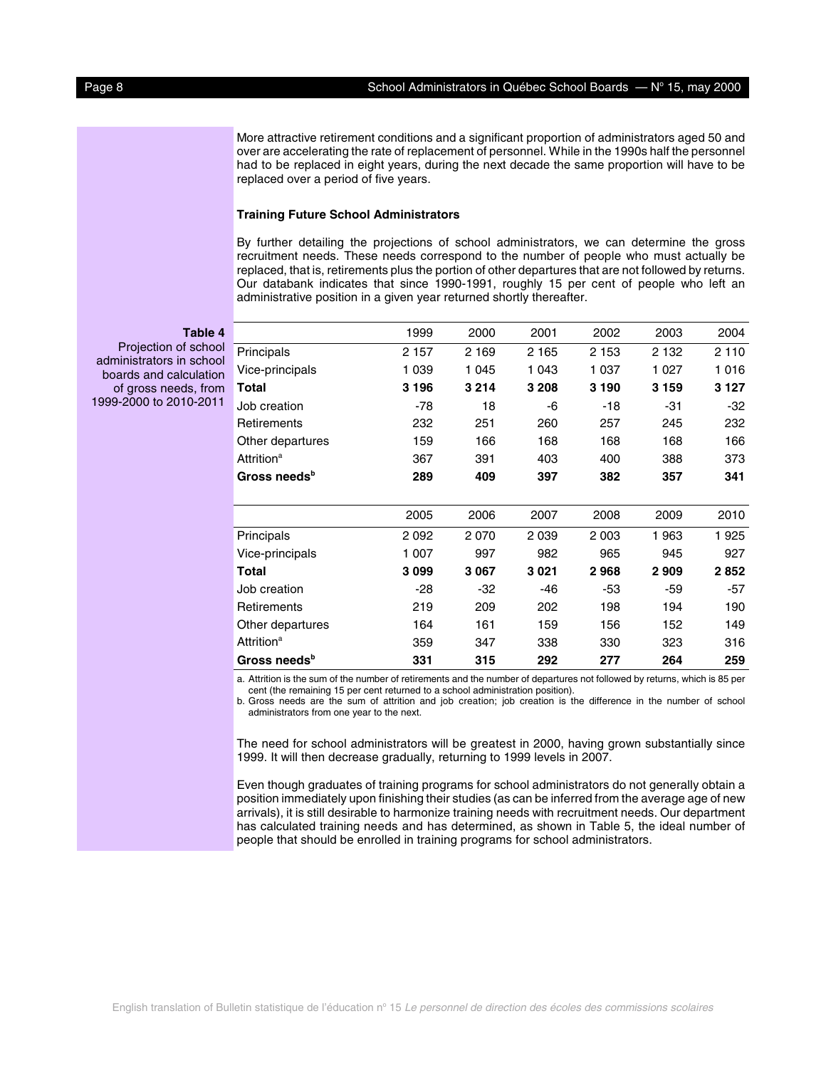More attractive retirement conditions and a significant proportion of administrators aged 50 and over are accelerating the rate of replacement of personnel. While in the 1990s half the personnel had to be replaced in eight years, during the next decade the same proportion will have to be replaced over a period of five years.

# **Training Future School Administrators**

By further detailing the projections of school administrators, we can determine the gross recruitment needs. These needs correspond to the number of people who must actually be replaced, that is, retirements plus the portion of other departures that are not followed by returns. Our databank indicates that since 1990-1991, roughly 15 per cent of people who left an administrative position in a given year returned shortly thereafter.

**Table 4**

Projection of school administrators in school boards and calculation of gross needs, from 1999-2000 to 2010-2011

|                               | 1999    | 2000    | 2001    | 2002    | 2003    | 2004    |
|-------------------------------|---------|---------|---------|---------|---------|---------|
| Principals                    | 2 1 5 7 | 2 1 6 9 | 2 1 6 5 | 2 1 5 3 | 2 1 3 2 | 2 1 1 0 |
| Vice-principals               | 1 0 3 9 | 1 0 4 5 | 1 0 4 3 | 1 0 3 7 | 1 0 2 7 | 1016    |
| Total                         | 3 1 9 6 | 3 2 1 4 | 3 2 0 8 | 3 1 9 0 | 3 1 5 9 | 3 1 2 7 |
| Job creation                  | $-78$   | 18      | -6      | -18     | -31     | $-32$   |
| <b>Retirements</b>            | 232     | 251     | 260     | 257     | 245     | 232     |
| Other departures              | 159     | 166     | 168     | 168     | 168     | 166     |
| <b>Attrition<sup>a</sup></b>  | 367     | 391     | 403     | 400     | 388     | 373     |
| Gross needs <sup>b</sup>      | 289     | 409     | 397     | 382     | 357     | 341     |
|                               |         |         |         |         |         |         |
|                               | 2005    | 2006    | 2007    | 2008    | 2009    | 2010    |
| Principals                    | 2092    | 2 0 7 0 | 2 0 3 9 | 2 0 0 3 | 1963    | 1925    |
| Vice-principals               | 1 007   | 997     | 982     | 965     | 945     | 927     |
| Total                         | 3099    | 3 0 6 7 | 3021    | 2968    | 2 9 0 9 | 2852    |
| Job creation                  | -28     | -32     | $-46$   | -53     | -59     | -57     |
| Retirements                   | 219     | 209     | 202     | 198     | 194     | 190     |
| Other departures              | 164     | 161     | 159     | 156     | 152     | 149     |
| <b>Attrition</b> <sup>a</sup> | 359     | 347     | 338     | 330     | 323     | 316     |
| Gross needs <sup>b</sup>      | 331     | 315     | 292     | 277     | 264     | 259     |

a. Attrition is the sum of the number of retirements and the number of departures not followed by returns, which is 85 per cent (the remaining 15 per cent returned to a school administration position).

b. Gross needs are the sum of attrition and job creation; job creation is the difference in the number of school administrators from one year to the next.

The need for school administrators will be greatest in 2000, having grown substantially since 1999. It will then decrease gradually, returning to 1999 levels in 2007.

Even though graduates of training programs for school administrators do not generally obtain a position immediately upon finishing their studies (as can be inferred from the average age of new arrivals), it is still desirable to harmonize training needs with recruitment needs. Our department has calculated training needs and has determined, as shown in Table 5, the ideal number of people that should be enrolled in training programs for school administrators.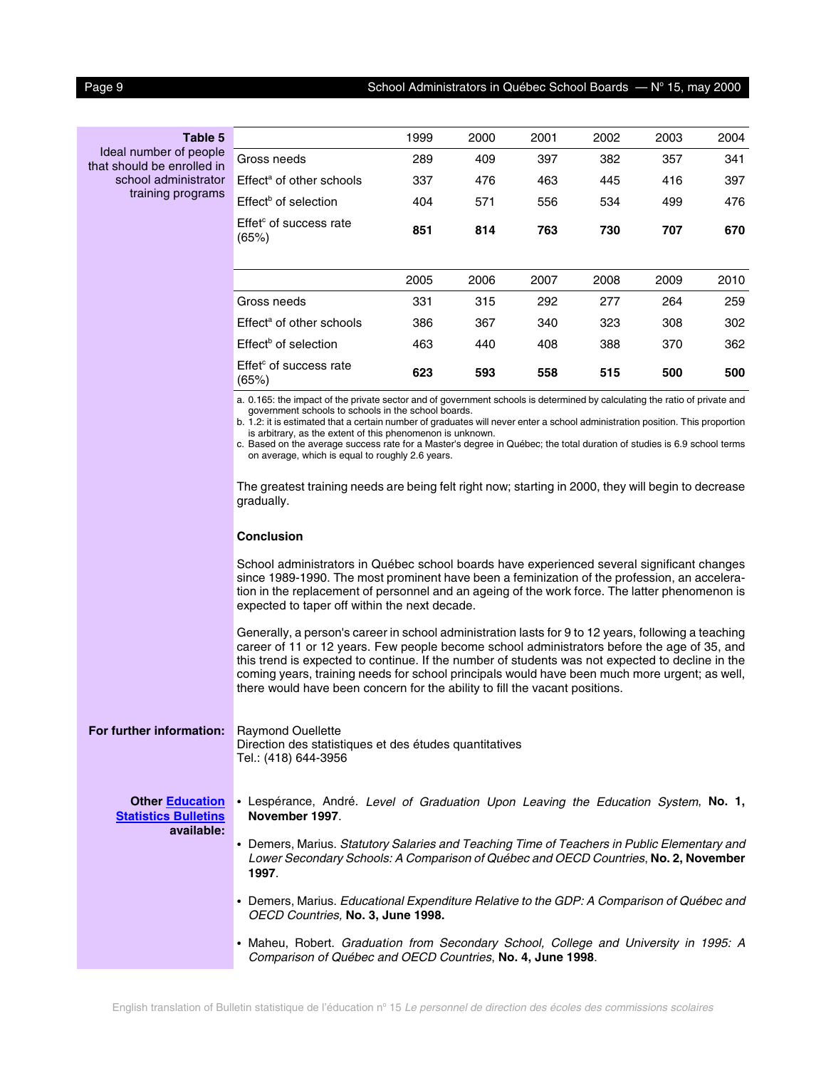| Table 5                                                             |                                                                                                                                                                                                                                                                                                                                                                                                                                                                                                                                                                                                                                                                                      | 1999 | 2000 | 2001 | 2002 | 2003 | 2004 |  |  |  |
|---------------------------------------------------------------------|--------------------------------------------------------------------------------------------------------------------------------------------------------------------------------------------------------------------------------------------------------------------------------------------------------------------------------------------------------------------------------------------------------------------------------------------------------------------------------------------------------------------------------------------------------------------------------------------------------------------------------------------------------------------------------------|------|------|------|------|------|------|--|--|--|
| Ideal number of people<br>that should be enrolled in                | Gross needs                                                                                                                                                                                                                                                                                                                                                                                                                                                                                                                                                                                                                                                                          | 289  | 409  | 397  | 382  | 357  | 341  |  |  |  |
| school administrator                                                | Effect <sup>a</sup> of other schools                                                                                                                                                                                                                                                                                                                                                                                                                                                                                                                                                                                                                                                 | 337  | 476  | 463  | 445  | 416  | 397  |  |  |  |
| training programs                                                   | Effect <sup>b</sup> of selection                                                                                                                                                                                                                                                                                                                                                                                                                                                                                                                                                                                                                                                     | 404  | 571  | 556  | 534  | 499  | 476  |  |  |  |
|                                                                     | Effet <sup>c</sup> of success rate<br>(65%)                                                                                                                                                                                                                                                                                                                                                                                                                                                                                                                                                                                                                                          | 851  | 814  | 763  | 730  | 707  | 670  |  |  |  |
|                                                                     |                                                                                                                                                                                                                                                                                                                                                                                                                                                                                                                                                                                                                                                                                      | 2005 | 2006 | 2007 | 2008 | 2009 | 2010 |  |  |  |
|                                                                     | Gross needs                                                                                                                                                                                                                                                                                                                                                                                                                                                                                                                                                                                                                                                                          | 331  | 315  | 292  | 277  | 264  | 259  |  |  |  |
|                                                                     | Effect <sup>a</sup> of other schools                                                                                                                                                                                                                                                                                                                                                                                                                                                                                                                                                                                                                                                 | 386  | 367  | 340  | 323  | 308  | 302  |  |  |  |
|                                                                     | Effect <sup>b</sup> of selection                                                                                                                                                                                                                                                                                                                                                                                                                                                                                                                                                                                                                                                     | 463  | 440  | 408  | 388  | 370  | 362  |  |  |  |
|                                                                     | Effet <sup>c</sup> of success rate<br>(65%)                                                                                                                                                                                                                                                                                                                                                                                                                                                                                                                                                                                                                                          | 623  | 593  | 558  | 515  | 500  | 500  |  |  |  |
|                                                                     | a. 0.165: the impact of the private sector and of government schools is determined by calculating the ratio of private and<br>government schools to schools in the school boards.<br>b. 1.2: it is estimated that a certain number of graduates will never enter a school administration position. This proportion<br>is arbitrary, as the extent of this phenomenon is unknown.<br>c. Based on the average success rate for a Master's degree in Québec; the total duration of studies is 6.9 school terms<br>on average, which is equal to roughly 2.6 years.<br>The greatest training needs are being felt right now; starting in 2000, they will begin to decrease<br>gradually. |      |      |      |      |      |      |  |  |  |
|                                                                     | <b>Conclusion</b>                                                                                                                                                                                                                                                                                                                                                                                                                                                                                                                                                                                                                                                                    |      |      |      |      |      |      |  |  |  |
|                                                                     | School administrators in Québec school boards have experienced several significant changes<br>since 1989-1990. The most prominent have been a feminization of the profession, an accelera-<br>tion in the replacement of personnel and an ageing of the work force. The latter phenomenon is<br>expected to taper off within the next decade.                                                                                                                                                                                                                                                                                                                                        |      |      |      |      |      |      |  |  |  |
|                                                                     | Generally, a person's career in school administration lasts for 9 to 12 years, following a teaching<br>career of 11 or 12 years. Few people become school administrators before the age of 35, and<br>this trend is expected to continue. If the number of students was not expected to decline in the<br>coming years, training needs for school principals would have been much more urgent; as well,<br>there would have been concern for the ability to fill the vacant positions.                                                                                                                                                                                               |      |      |      |      |      |      |  |  |  |
| For further information:                                            | <b>Raymond Ouellette</b><br>Direction des statistiques et des études quantitatives<br>Tel.: (418) 644-3956                                                                                                                                                                                                                                                                                                                                                                                                                                                                                                                                                                           |      |      |      |      |      |      |  |  |  |
| <b>Other Education</b><br><b>Statistics Bulletins</b><br>available: | • Lespérance, André. Level of Graduation Upon Leaving the Education System, No. 1,<br>November 1997.                                                                                                                                                                                                                                                                                                                                                                                                                                                                                                                                                                                 |      |      |      |      |      |      |  |  |  |
|                                                                     | • Demers, Marius. Statutory Salaries and Teaching Time of Teachers in Public Elementary and<br>Lower Secondary Schools: A Comparison of Québec and OECD Countries, No. 2, November                                                                                                                                                                                                                                                                                                                                                                                                                                                                                                   |      |      |      |      |      |      |  |  |  |

**1997**. • Demers, Marius. Educational Expenditure Relative to the GDP: A Comparison of Québec and OECD Countries, **No. 3, June 1998.**

• Maheu, Robert. Graduation from Secondary School, College and University in 1995: A Comparison of Québec and OECD Countries, **No. 4, June 1998**.